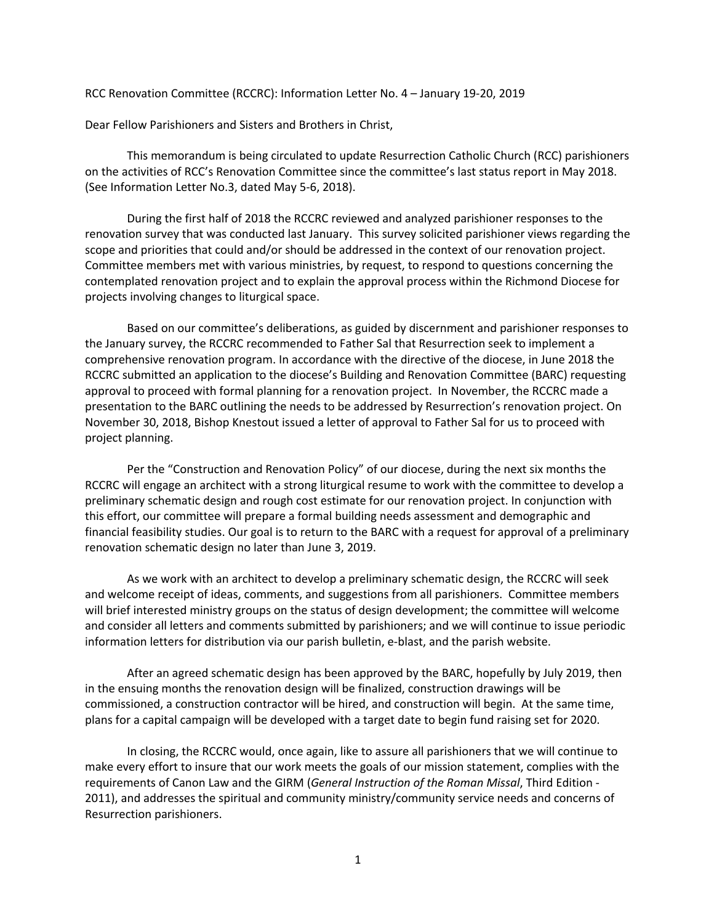RCC Renovation Committee (RCCRC): Information Letter No. 4 – January 19-20, 2019

Dear Fellow Parishioners and Sisters and Brothers in Christ,

This memorandum is being circulated to update Resurrection Catholic Church (RCC) parishioners on the activities of RCC's Renovation Committee since the committee's last status report in May 2018. (See Information Letter No.3, dated May 5-6, 2018).

During the first half of 2018 the RCCRC reviewed and analyzed parishioner responses to the renovation survey that was conducted last January. This survey solicited parishioner views regarding the scope and priorities that could and/or should be addressed in the context of our renovation project. Committee members met with various ministries, by request, to respond to questions concerning the contemplated renovation project and to explain the approval process within the Richmond Diocese for projects involving changes to liturgical space.

Based on our committee's deliberations, as guided by discernment and parishioner responses to the January survey, the RCCRC recommended to Father Sal that Resurrection seek to implement a comprehensive renovation program. In accordance with the directive of the diocese, in June 2018 the RCCRC submitted an application to the diocese's Building and Renovation Committee (BARC) requesting approval to proceed with formal planning for a renovation project. In November, the RCCRC made a presentation to the BARC outlining the needs to be addressed by Resurrection's renovation project. On November 30, 2018, Bishop Knestout issued a letter of approval to Father Sal for us to proceed with project planning.

Per the "Construction and Renovation Policy" of our diocese, during the next six months the RCCRC will engage an architect with a strong liturgical resume to work with the committee to develop a preliminary schematic design and rough cost estimate for our renovation project. In conjunction with this effort, our committee will prepare a formal building needs assessment and demographic and financial feasibility studies. Our goal is to return to the BARC with a request for approval of a preliminary renovation schematic design no later than June 3, 2019.

As we work with an architect to develop a preliminary schematic design, the RCCRC will seek and welcome receipt of ideas, comments, and suggestions from all parishioners. Committee members will brief interested ministry groups on the status of design development; the committee will welcome and consider all letters and comments submitted by parishioners; and we will continue to issue periodic information letters for distribution via our parish bulletin, e-blast, and the parish website.

After an agreed schematic design has been approved by the BARC, hopefully by July 2019, then in the ensuing months the renovation design will be finalized, construction drawings will be commissioned, a construction contractor will be hired, and construction will begin. At the same time, plans for a capital campaign will be developed with a target date to begin fund raising set for 2020.

In closing, the RCCRC would, once again, like to assure all parishioners that we will continue to make every effort to insure that our work meets the goals of our mission statement, complies with the requirements of Canon Law and the GIRM (*General Instruction of the Roman Missal*, Third Edition - 2011), and addresses the spiritual and community ministry/community service needs and concerns of Resurrection parishioners.